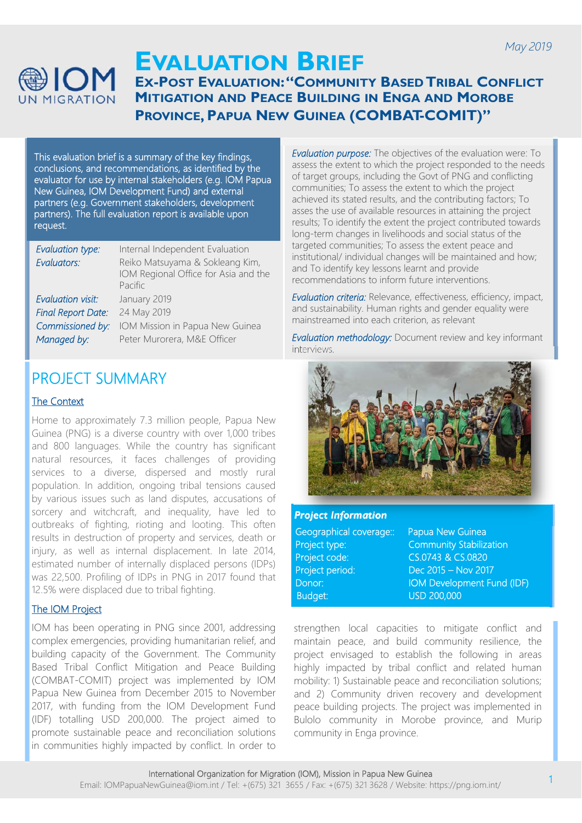

## **EVALUATION BRIEF EX-POST EVALUATION: "COMMUNITY BASED TRIBAL CONFLICT MITIGATION AND PEACE BUILDING IN ENGA AND MOROBE PROVINCE, PAPUA NEW GUINEA (COMBAT-COMIT)"**

This evaluation brief is a summary of the key findings, conclusions, and recommendations, as identified by the evaluator for use by internal stakeholders (e.g. IOM Papua New Guinea, IOM Development Fund) and external partners (e.g. Government stakeholders, development partners). The full evaluation report is available upon request.

| <b>Evaluation type:</b>   | Internal Independent Evaluation                                                    |
|---------------------------|------------------------------------------------------------------------------------|
| Evaluators:               | Reiko Matsuyama & Sokleang Kim,<br>IOM Regional Office for Asia and the<br>Pacific |
| <b>Evaluation visit:</b>  | January 2019                                                                       |
| <b>Final Report Date:</b> | 24 May 2019                                                                        |
| Commissioned by:          | IOM Mission in Papua New Guinea                                                    |
| Managed by:               | Peter Murorera, M&E Officer                                                        |

# PROJECT SUMMARY

#### The Context

Home to approximately 7.3 million people, Papua New Guinea (PNG) is a diverse country with over 1,000 tribes and 800 languages. While the country has significant natural resources, it faces challenges of providing services to a diverse, dispersed and mostly rural population. In addition, ongoing tribal tensions caused by various issues such as land disputes, accusations of sorcery and witchcraft, and inequality, have led to outbreaks of fighting, rioting and looting. This often results in destruction of property and services, death or injury, as well as internal displacement. In late 2014, estimated number of internally displaced persons (IDPs) was 22,500. Profiling of IDPs in PNG in 2017 found that 12.5% were displaced due to tribal fighting.

#### The IOM Project

IOM has been operating in PNG since 2001, addressing complex emergencies, providing humanitarian relief, and building capacity of the Government. The Community Based Tribal Conflict Mitigation and Peace Building (COMBAT-COMIT) project was implemented by IOM Papua New Guinea from December 2015 to November 2017, with funding from the IOM Development Fund (IDF) totalling USD 200,000. The project aimed to promote sustainable peace and reconciliation solutions in communities highly impacted by conflict. In order to

*Evaluation purpose:* The objectives of the evaluation were: To assess the extent to which the project responded to the needs of target groups, including the Govt of PNG and conflicting communities; To assess the extent to which the project achieved its stated results, and the contributing factors; To asses the use of available resources in attaining the project results; To identify the extent the project contributed towards long-term changes in livelihoods and social status of the targeted communities; To assess the extent peace and institutional/ individual changes will be maintained and how; and To identify key lessons learnt and provide recommendations to inform future interventions.

*Evaluation criteria:* Relevance, effectiveness, efficiency, impact, and sustainability. Human rights and gender equality were mainstreamed into each criterion, as relevant

*Evaluation methodology:* Document review and key informant interviews.



#### *Project Information*

| Geographical coverage:: |
|-------------------------|
| Project type:           |
| Project code:           |
| Project period:         |
| Donor:                  |
| <b>Budget:</b>          |

Papua New Guinea **Community Stabilization** CS.0743 & CS.0820 Project period: Dec 2015 – Nov 2017 **IOM Development Fund (IDF)**  $USD$  200,000

strengthen local capacities to mitigate conflict and maintain peace, and build community resilience, the project envisaged to establish the following in areas highly impacted by tribal conflict and related human mobility: 1) Sustainable peace and reconciliation solutions; and 2) Community driven recovery and development peace building projects. The project was implemented in Bulolo community in Morobe province, and Murip community in Enga province.